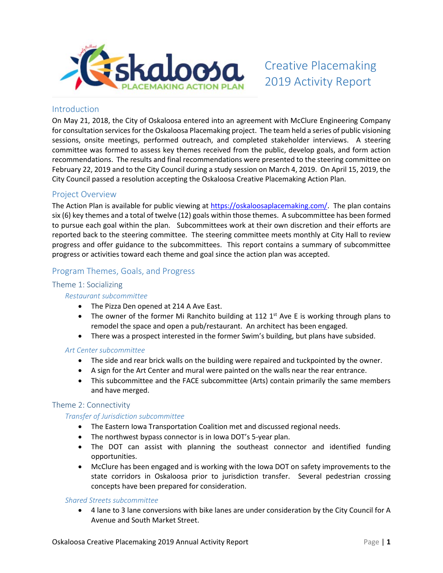

# Creative Placemaking 2019 Activity Report

# Introduction

On May 21, 2018, the City of Oskaloosa entered into an agreement with McClure Engineering Company for consultation services for the Oskaloosa Placemaking project. The team held a series of public visioning sessions, onsite meetings, performed outreach, and completed stakeholder interviews. A steering committee was formed to assess key themes received from the public, develop goals, and form action recommendations. The results and final recommendations were presented to the steering committee on February 22, 2019 and to the City Council during a study session on March 4, 2019. On April 15, 2019, the City Council passed a resolution accepting the Oskaloosa Creative Placemaking Action Plan.

# Project Overview

The Action Plan is available for public viewing at [https://oskaloosaplacemaking.com/.](https://oskaloosaplacemaking.com/) The plan contains six (6) key themes and a total of twelve (12) goals within those themes. A subcommittee has been formed to pursue each goal within the plan. Subcommittees work at their own discretion and their efforts are reported back to the steering committee. The steering committee meets monthly at City Hall to review progress and offer guidance to the subcommittees. This report contains a summary of subcommittee progress or activities toward each theme and goal since the action plan was accepted.

# Program Themes, Goals, and Progress

# Theme 1: Socializing

# *Restaurant subcommittee*

- The Pizza Den opened at 214 A Ave East.
- The owner of the former Mi Ranchito building at 112 1st Ave E is working through plans to remodel the space and open a pub/restaurant. An architect has been engaged.
- There was a prospect interested in the former Swim's building, but plans have subsided.

## *Art Center subcommittee*

- The side and rear brick walls on the building were repaired and tuckpointed by the owner.
- A sign for the Art Center and mural were painted on the walls near the rear entrance.
- This subcommittee and the FACE subcommittee (Arts) contain primarily the same members and have merged.

# Theme 2: Connectivity

# *Transfer of Jurisdiction subcommittee*

- The Eastern Iowa Transportation Coalition met and discussed regional needs.
- The northwest bypass connector is in Iowa DOT's 5-year plan.
- The DOT can assist with planning the southeast connector and identified funding opportunities.
- McClure has been engaged and is working with the Iowa DOT on safety improvements to the state corridors in Oskaloosa prior to jurisdiction transfer. Several pedestrian crossing concepts have been prepared for consideration.

## *Shared Streets subcommittee*

• 4 lane to 3 lane conversions with bike lanes are under consideration by the City Council for A Avenue and South Market Street.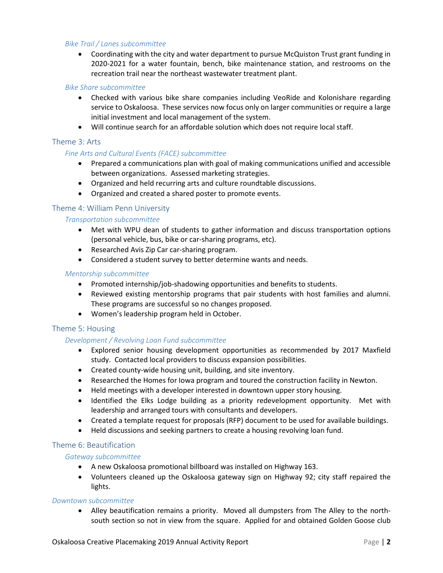### *Bike Trail / Lanes subcommittee*

• Coordinating with the city and water department to pursue McQuiston Trust grant funding in 2020-2021 for a water fountain, bench, bike maintenance station, and restrooms on the recreation trail near the northeast wastewater treatment plant.

#### *Bike Share subcommittee*

- Checked with various bike share companies including VeoRide and Kolonishare regarding service to Oskaloosa. These services now focus only on larger communities or require a large initial investment and local management of the system.
- Will continue search for an affordable solution which does not require local staff.

## Theme 3: Arts

## *Fine Arts and Cultural Events (FACE) subcommittee*

- Prepared a communications plan with goal of making communications unified and accessible between organizations. Assessed marketing strategies.
- Organized and held recurring arts and culture roundtable discussions.
- Organized and created a shared poster to promote events.

#### Theme 4: William Penn University

#### *Transportation subcommittee*

- Met with WPU dean of students to gather information and discuss transportation options (personal vehicle, bus, bike or car-sharing programs, etc).
- Researched Avis Zip Car car-sharing program.
- Considered a student survey to better determine wants and needs.

#### *Mentorship subcommittee*

- Promoted internship/job-shadowing opportunities and benefits to students.
- Reviewed existing mentorship programs that pair students with host families and alumni. These programs are successful so no changes proposed.
- Women's leadership program held in October.

## Theme 5: Housing

#### *Development / Revolving Loan Fund subcommittee*

- Explored senior housing development opportunities as recommended by 2017 Maxfield study. Contacted local providers to discuss expansion possibilities.
- Created county-wide housing unit, building, and site inventory.
- Researched the Homes for Iowa program and toured the construction facility in Newton.
- Held meetings with a developer interested in downtown upper story housing.
- Identified the Elks Lodge building as a priority redevelopment opportunity. Met with leadership and arranged tours with consultants and developers.
- Created a template request for proposals (RFP) document to be used for available buildings.
- Held discussions and seeking partners to create a housing revolving loan fund.

#### Theme 6: Beautification

#### *Gateway subcommittee*

- A new Oskaloosa promotional billboard was installed on Highway 163.
- Volunteers cleaned up the Oskaloosa gateway sign on Highway 92; city staff repaired the lights.

#### *Downtown subcommittee*

• Alley beautification remains a priority. Moved all dumpsters from The Alley to the northsouth section so not in view from the square. Applied for and obtained Golden Goose club